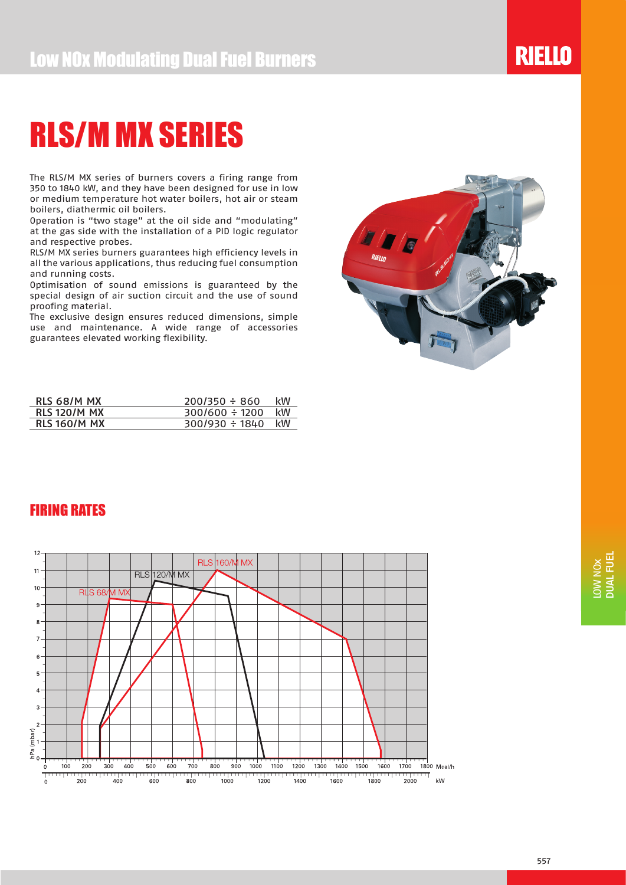The RLS/M MX series of burners covers a firing range from 350 to 1840 kW, and they have been designed for use in low or medium temperature hot water boilers, hot air or steam boilers, diathermic oil boilers.

Operation is "two stage" at the oil side and "modulating" at the gas side with the installation of a PID logic regulator and respective probes.

RLS/M MX series burners guarantees high efficiency levels in all the various applications, thus reducing fuel consumption and running costs.

Optimisation of sound emissions is guaranteed by the special design of air suction circuit and the use of sound proofing material.

The exclusive design ensures reduced dimensions, simple use and maintenance. A wide range of accessories guarantees elevated working flexibility.



**RIELLO** 

| RLS 68/M MX         | $200/350 \div 860$  | kW |
|---------------------|---------------------|----|
| <b>RLS 120/M MX</b> | $300/600 \div 1200$ | kW |
| <b>RLS 160/M MX</b> | $300/930 \div 1840$ | kW |

### FIRING RATES

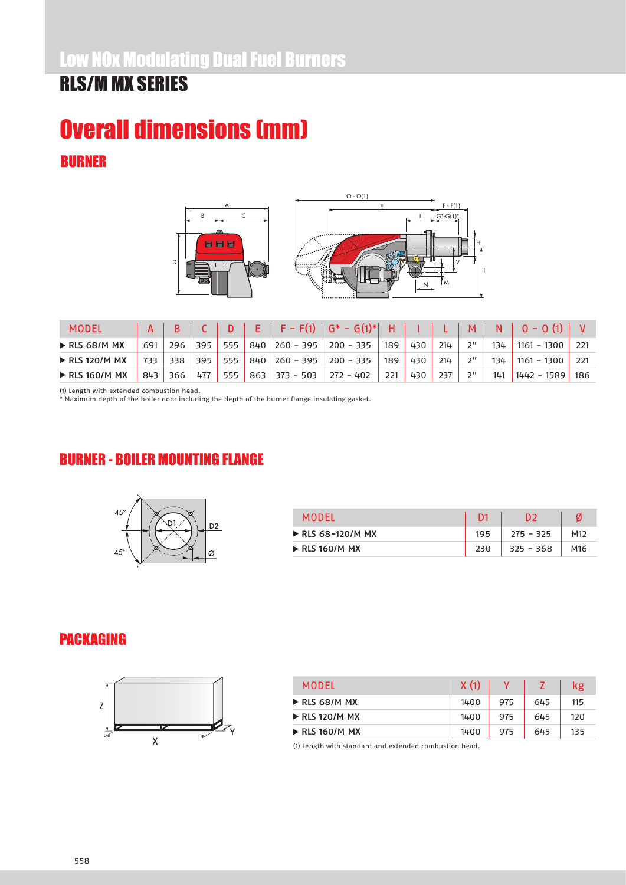### Low NOx Modulating Dual Fuel Burners

### RLS/M MX SERIES

### BURNER Overall dimensions (mm)



| MODEL                         |     |     |     |  | $E$   F – F(1)   G* – G(1)*   | н     |     |     | $-M$               | N   | $\sqrt{0 - 0}$ (1) $\sqrt{0}$ |      |
|-------------------------------|-----|-----|-----|--|-------------------------------|-------|-----|-----|--------------------|-----|-------------------------------|------|
| $\triangleright$ RLS 68/M MX  | 691 | 296 | 395 |  | $555$ 840 260 - 395 200 - 335 | , 189 | 430 | 214 | ייכ                | 134 | $1161 - 1300$                 |      |
| $\triangleright$ RLS 120/M MX | 733 | 338 | 395 |  | 555 840 260 - 395 200 - 335   | 189   | 430 | 214 | $2^{\prime\prime}$ | 134 | $1161 - 1300$                 |      |
| $\triangleright$ RLS 160/M MX | 843 | 366 | 477 |  | $555$ 863 373 - 503 272 - 402 | 221   | 430 | 237 | $2^{\prime\prime}$ | 141 | $1442 - 1589$                 | -186 |

(1) Length with extended combustion head.

\* Maximum depth of the boiler door including the depth of the burner flange insulating gasket.

### BURNER - BOILER MOUNTING FLANGE



| <b>MODEL</b>                     |     | כח          |                 |
|----------------------------------|-----|-------------|-----------------|
| $\triangleright$ RLS 68-120/M MX | 195 | $275 - 325$ | M <sub>12</sub> |
| $\triangleright$ RLS 160/M MX    | 230 | $325 - 368$ | M <sub>16</sub> |

#### PACKAGING



| <b>MODEL</b>                  | X(1) |     |     | kg  |
|-------------------------------|------|-----|-----|-----|
| $\triangleright$ RLS 68/M MX  | 1400 | 975 | 645 | 115 |
| $\triangleright$ RLS 120/M MX | 1400 | 975 | 645 | 120 |
| $\triangleright$ RLS 160/M MX | 1400 | 975 | 645 | 135 |

(1) Length with standard and extended combustion head.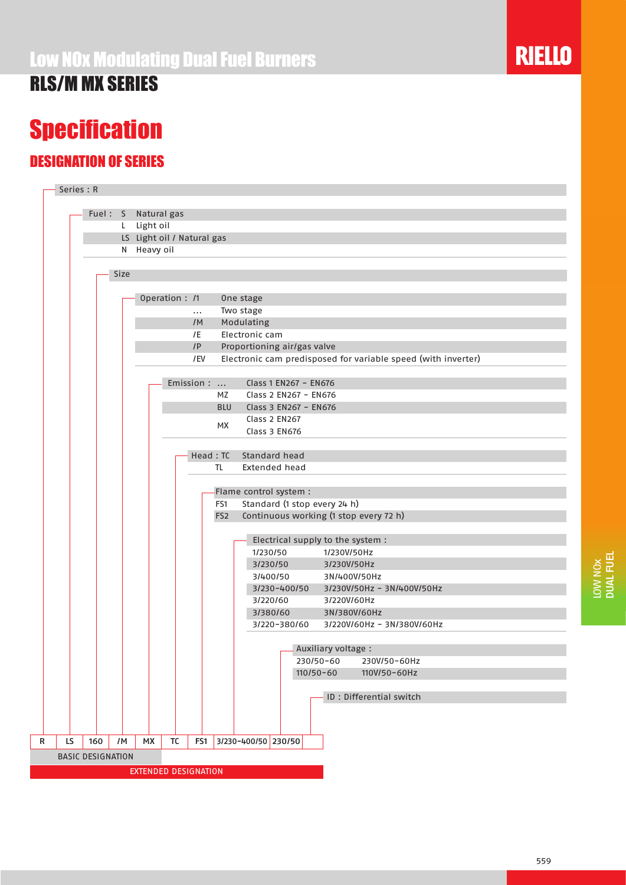## **Specification**

### DESIGNATION OF SERIES

|           | Fuel: S |                          | Natural gas                |           |            |                 |                                                        |              |                                   |             |                                                               |  |
|-----------|---------|--------------------------|----------------------------|-----------|------------|-----------------|--------------------------------------------------------|--------------|-----------------------------------|-------------|---------------------------------------------------------------|--|
|           |         | L.                       | Light oil                  |           |            |                 |                                                        |              |                                   |             |                                                               |  |
|           |         |                          | LS Light oil / Natural gas |           |            |                 |                                                        |              |                                   |             |                                                               |  |
|           |         |                          | N Heavy oil                |           |            |                 |                                                        |              |                                   |             |                                                               |  |
|           |         |                          |                            |           |            |                 |                                                        |              |                                   |             |                                                               |  |
|           |         | Size                     |                            |           |            |                 |                                                        |              |                                   |             |                                                               |  |
|           |         |                          |                            |           |            |                 |                                                        |              |                                   |             |                                                               |  |
|           |         |                          | Operation : /1             |           |            |                 | One stage                                              |              |                                   |             |                                                               |  |
|           |         |                          |                            |           | $\cdots$   |                 | Two stage                                              |              |                                   |             |                                                               |  |
|           |         |                          |                            |           | /M         |                 | Modulating<br>Electronic cam                           |              |                                   |             |                                                               |  |
|           |         |                          |                            |           | /E<br>IP   |                 | Proportioning air/gas valve                            |              |                                   |             |                                                               |  |
|           |         |                          |                            |           | /EV        |                 |                                                        |              |                                   |             | Electronic cam predisposed for variable speed (with inverter) |  |
|           |         |                          |                            |           |            |                 |                                                        |              |                                   |             |                                                               |  |
|           |         |                          |                            |           | Emission : |                 |                                                        |              | Class 1 EN267 - EN676             |             |                                                               |  |
|           |         |                          |                            |           |            | MZ              |                                                        |              | Class 2 EN267 - EN676             |             |                                                               |  |
|           |         |                          |                            |           |            | <b>BLU</b>      |                                                        |              | Class 3 EN267 - EN676             |             |                                                               |  |
|           |         |                          |                            |           |            | MX              | Class 2 EN267                                          |              |                                   |             |                                                               |  |
|           |         |                          |                            |           |            |                 | Class 3 EN676                                          |              |                                   |             |                                                               |  |
|           |         |                          |                            |           |            |                 |                                                        |              |                                   |             |                                                               |  |
|           |         |                          |                            |           |            | Head: TC        | Standard head                                          |              |                                   |             |                                                               |  |
|           |         |                          |                            |           |            | TL.             | <b>Extended head</b>                                   |              |                                   |             |                                                               |  |
|           |         |                          |                            |           |            |                 |                                                        |              |                                   |             |                                                               |  |
|           |         |                          |                            |           |            | FS1             | Flame control system :<br>Standard (1 stop every 24 h) |              |                                   |             |                                                               |  |
|           |         |                          |                            |           |            | FS <sub>2</sub> |                                                        |              |                                   |             | Continuous working (1 stop every 72 h)                        |  |
|           |         |                          |                            |           |            |                 |                                                        |              |                                   |             |                                                               |  |
|           |         |                          |                            |           |            |                 |                                                        |              | Electrical supply to the system : |             |                                                               |  |
|           |         |                          |                            |           |            |                 | 1/230/50                                               |              |                                   | 1/230V/50Hz |                                                               |  |
|           |         |                          |                            |           |            |                 | 3/230/50                                               |              |                                   |             | 3/230V/50Hz                                                   |  |
|           |         |                          |                            |           |            |                 | 3/400/50                                               |              |                                   |             | 3N/400V/50Hz                                                  |  |
|           |         |                          |                            |           |            |                 |                                                        | 3/230-400/50 |                                   |             | 3/230V/50Hz - 3N/400V/50Hz                                    |  |
|           |         |                          |                            |           |            |                 | 3/220/60                                               |              |                                   |             | 3/220V/60Hz                                                   |  |
|           |         |                          |                            |           |            |                 | 3/380/60                                               |              |                                   |             | 3N/380V/60Hz                                                  |  |
|           |         |                          |                            |           |            |                 |                                                        | 3/220-380/60 |                                   |             | 3/220V/60Hz - 3N/380V/60Hz                                    |  |
|           |         |                          |                            |           |            |                 |                                                        |              |                                   |             |                                                               |  |
|           |         |                          |                            |           |            |                 |                                                        |              | Auxiliary voltage :               |             |                                                               |  |
|           |         |                          |                            |           |            |                 |                                                        |              | 230/50-60                         |             | 230V/50-60Hz                                                  |  |
|           |         |                          |                            |           |            |                 |                                                        |              | $110/50 - 60$                     |             | 110V/50-60Hz                                                  |  |
|           |         |                          |                            |           |            |                 |                                                        |              |                                   |             | ID: Differential switch                                       |  |
|           |         |                          |                            |           |            |                 |                                                        |              |                                   |             |                                                               |  |
|           |         |                          |                            |           |            |                 |                                                        |              |                                   |             |                                                               |  |
|           |         |                          |                            |           |            |                 |                                                        |              |                                   |             |                                                               |  |
| LS<br>160 |         | /M                       | <b>MX</b>                  | <b>TC</b> | FS1        |                 | 3/230-400/50 230/50                                    |              |                                   |             |                                                               |  |
|           |         | <b>BASIC DESIGNATION</b> |                            |           |            |                 |                                                        |              |                                   |             |                                                               |  |

### **RIELLO**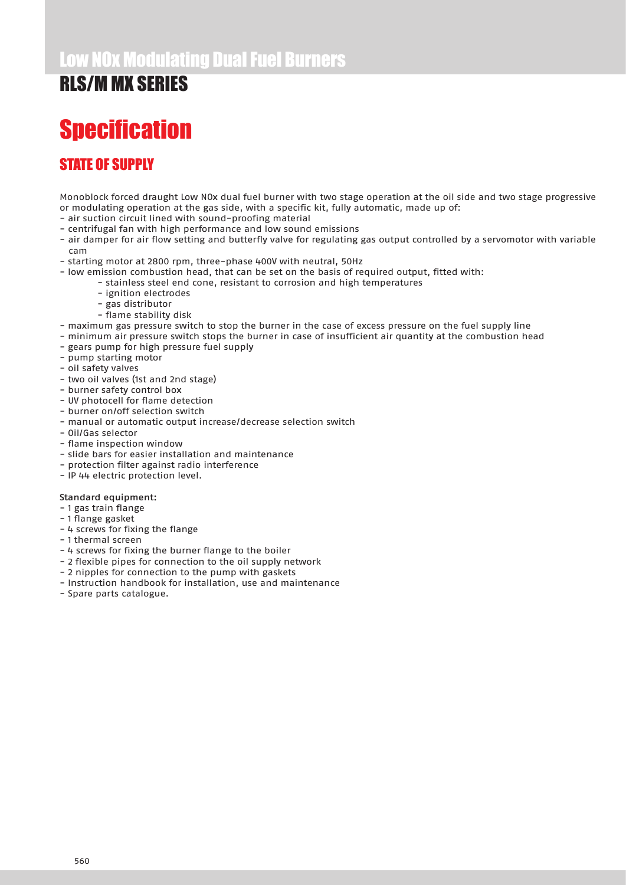## **Specification**

### STATE OF SUPPLY

Monoblock forced draught Low NOx dual fuel burner with two stage operation at the oil side and two stage progressive or modulating operation at the gas side, with a specific kit, fully automatic, made up of:

- air suction circuit lined with sound-proofing material
- centrifugal fan with high performance and low sound emissions
- air damper for air flow setting and butterfly valve for regulating gas output controlled by a servomotor with variable cam
- starting motor at 2800 rpm, three-phase 400V with neutral, 50Hz
- low emission combustion head, that can be set on the basis of required output, fitted with:
	- stainless steel end cone, resistant to corrosion and high temperatures
	- ignition electrodes
	- gas distributor
	- flame stability disk
- maximum gas pressure switch to stop the burner in the case of excess pressure on the fuel supply line
- minimum air pressure switch stops the burner in case of insufficient air quantity at the combustion head
- gears pump for high pressure fuel supply
- pump starting motor
- oil safety valves
- two oil valves (1st and 2nd stage)
- burner safety control box
- UV photocell for flame detection
- burner on/off selection switch
- manual or automatic output increase/decrease selection switch
- Oil/Gas selector
- flame inspection window
- slide bars for easier installation and maintenance
- protection filter against radio interference
- IP 44 electric protection level.

#### Standard equipment:

- 1 gas train flange
- 1 flange gasket
- 4 screws for fixing the flange
- 1 thermal screen
- 4 screws for fixing the burner flange to the boiler
- 2 flexible pipes for connection to the oil supply network
- 2 nipples for connection to the pump with gaskets
- Instruction handbook for installation, use and maintenance
- Spare parts catalogue.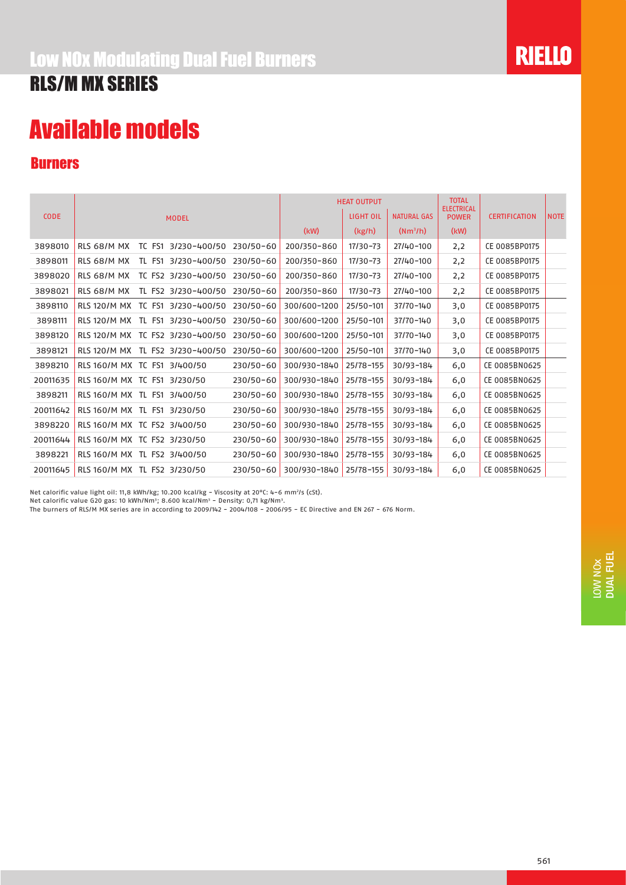## Available models

#### Burners

|             |                              |        |                                  |               |              | <b>HEAT OUTPUT</b> |                    | <b>TOTAL</b><br><b>ELECTRICAL</b> |                      |             |
|-------------|------------------------------|--------|----------------------------------|---------------|--------------|--------------------|--------------------|-----------------------------------|----------------------|-------------|
| <b>CODE</b> |                              |        | <b>MODEL</b>                     |               |              | LIGHT OIL          | <b>NATURAL GAS</b> | <b>POWER</b>                      | <b>CERTIFICATION</b> | <b>NOTE</b> |
|             |                              |        |                                  |               | (kW)         | (kg/h)             | $(Nm^3/h)$         | (kW)                              |                      |             |
| 3898010     | RLS 68/M MX                  | TC FS1 | 3/230-400/50                     | 230/50-60     | 200/350-860  | 17/30-73           | 27/40-100          | 2,2                               | CE 0085BP0175        |             |
| 3898011     | RLS 68/M MX                  | TL FS1 | 3/230-400/50                     | 230/50-60     | 200/350-860  | 17/30-73           | 27/40-100          | 2,2                               | CE 0085BP0175        |             |
| 3898020     | RLS 68/M MX                  |        | TC FS2 3/230-400/50              | 230/50-60     | 200/350-860  | 17/30-73           | 27/40-100          | 2,2                               | CE 0085BP0175        |             |
| 3898021     | RLS 68/M MX                  |        | TL FS2 3/230-400/50              | $230/50 - 60$ | 200/350-860  | 17/30-73           | 27/40-100          | 2,2                               | CE 0085BP0175        |             |
| 3898110     |                              |        | RLS 120/M MX TC FS1 3/230-400/50 | 230/50-60     | 300/600-1200 | 25/50-101          | 37/70-140          | 3,0                               | CE 0085BP0175        |             |
| 3898111     |                              |        | RLS 120/M MX TL FS1 3/230-400/50 | $230/50 - 60$ | 300/600-1200 | 25/50-101          | 37/70-140          | 3,0                               | CE 0085BP0175        |             |
| 3898120     |                              |        | RLS 120/M MX TC FS2 3/230-400/50 | $230/50 - 60$ | 300/600-1200 | 25/50-101          | 37/70-140          | 3,0                               | CE 0085BP0175        |             |
| 3898121     |                              |        | RLS 120/M MX TL FS2 3/230-400/50 | 230/50-60     | 300/600-1200 | 25/50-101          | 37/70-140          | 3,0                               | CE 0085BP0175        |             |
| 3898210     | RLS 160/M MX TC FS1 3/400/50 |        |                                  | $230/50 - 60$ | 300/930-1840 | 25/78-155          | 30/93-184          | 6,0                               | CE 0085BN0625        |             |
| 20011635    | RLS 160/M MX TC FS1 3/230/50 |        |                                  | 230/50-60     | 300/930-1840 | 25/78-155          | 30/93-184          | 6,0                               | CE 0085BN0625        |             |
| 3898211     | RLS 160/M MX TL FS1 3/400/50 |        |                                  | 230/50-60     | 300/930-1840 | 25/78-155          | 30/93-184          | 6,0                               | CE 0085BN0625        |             |
| 20011642    | RLS 160/M MX TL FS1 3/230/50 |        |                                  | $230/50 - 60$ | 300/930-1840 | 25/78-155          | 30/93-184          | 6,0                               | CE 0085BN0625        |             |
| 3898220     | RLS 160/M MX TC FS2 3/400/50 |        |                                  | 230/50-60     | 300/930-1840 | 25/78-155          | 30/93-184          | 6,0                               | CE 0085BN0625        |             |
| 20011644    | RLS 160/M MX TC FS2 3/230/50 |        |                                  | 230/50-60     | 300/930-1840 | 25/78-155          | 30/93-184          | 6,0                               | CE 0085BN0625        |             |
| 3898221     | RLS 160/M MX TL FS2 3/400/50 |        |                                  | 230/50-60     | 300/930-1840 | 25/78-155          | 30/93-184          | 6,0                               | CE 0085BN0625        |             |
| 20011645    | RLS 160/M MX TL FS2 3/230/50 |        |                                  | 230/50-60     | 300/930-1840 | 25/78-155          | 30/93-184          | 6,0                               | CE 0085BN0625        |             |

Net calorific value light oil: 11,8 kWh/kg; 10.200 kcal/kg - Viscosity at 20°C: 4-6 mm<sup>2</sup>/s (cSt).

Net calorific value G20 gas: 10 kWh/Nm<sup>3</sup>; 8.600 kcal/Nm<sup>3</sup> - Density: 0,71 kg/Nm<sup>3</sup>.

The burners of RLS/M MX series are in according to 2009/142 - 2004/108 - 2006/95 - EC Directive and EN 267 - 676 Norm.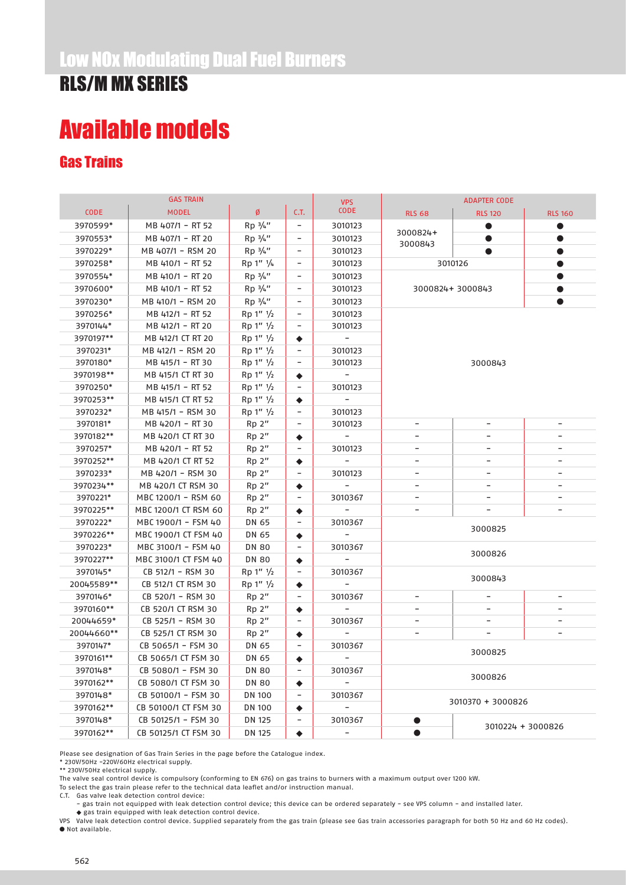## Available models

### Gas Trains

|             | <b>GAS TRAIN</b>     |                    |                              | <b>VPS</b>               |                              |                          |                          |
|-------------|----------------------|--------------------|------------------------------|--------------------------|------------------------------|--------------------------|--------------------------|
| <b>CODE</b> | <b>MODEL</b>         | Ø                  | C.T.                         | <b>CODE</b>              | <b>RLS 68</b>                | <b>RLS 120</b>           | <b>RLS 160</b>           |
| 3970599*    | MB 407/1 - RT 52     | $Rp \frac{3}{4}$ " | $\qquad \qquad \blacksquare$ | 3010123                  |                              |                          |                          |
| 3970553*    | MB 407/1 - RT 20     | $Rp \frac{3}{4}$ " | -                            | 3010123                  | 3000824+                     |                          |                          |
| 3970229*    | MB 407/1 - RSM 20    | $Rp \frac{3}{4}$ " | -                            | 3010123                  | 3000843                      |                          |                          |
| 3970258*    | MB 410/1 - RT 52     | Rp 1" 1/4          | $\overline{\phantom{a}}$     | 3010123                  |                              | 3010126                  | $\bullet$                |
| 3970554*    | MB 410/1 - RT 20     | Rp 3/4"            | -                            | 3010123                  |                              |                          |                          |
| 3970600*    | MB 410/1 - RT 52     | $Rp \frac{3}{4}$ " | $\overline{\phantom{a}}$     | 3010123                  |                              | 3000824+3000843          |                          |
| 3970230*    | MB 410/1 - RSM 20    | $Rp \frac{3}{4}$ " | $\overline{\phantom{0}}$     | 3010123                  |                              |                          | $\bullet$                |
| 3970256*    | MB 412/1 - RT 52     | Rp 1'' 1/2         | $\overline{\phantom{a}}$     | 3010123                  |                              |                          |                          |
| 3970144*    | MB 412/1 - RT 20     | Rp 1'' 1/2         | $\qquad \qquad$              | 3010123                  |                              |                          |                          |
| 3970197**   | MB 412/1 CT RT 20    | Rp 1'' 1/2         | ٠                            | $\overline{\phantom{a}}$ |                              |                          |                          |
| 3970231*    | MB 412/1 - RSM 20    | Rp 1'' 1/2         | -                            | 3010123                  |                              |                          |                          |
| 3970180*    | MB 415/1 - RT 30     | Rp 1'' 1/2         | $\qquad \qquad$              | 3010123                  |                              | 3000843                  |                          |
| 3970198**   | MB 415/1 CT RT 30    | Rp 1'' 1/2         | ٠                            |                          |                              |                          |                          |
| 3970250*    | MB 415/1 - RT 52     | Rp 1'' 1/2         | -                            | 3010123                  |                              |                          |                          |
| 3970253**   | MB 415/1 CT RT 52    | Rp 1'' 1/2         | ٠                            | $\overline{\phantom{0}}$ |                              |                          |                          |
| 3970232*    | MB 415/1 - RSM 30    | Rp 1'' 1/2         |                              | 3010123                  |                              |                          |                          |
| 3970181*    | MB 420/1 - RT 30     | Rp <sup>2</sup>    | $\overline{\phantom{a}}$     | 3010123                  | $\qquad \qquad \blacksquare$ | $\overline{\phantom{a}}$ | -                        |
| 3970182**   | MB 420/1 CT RT 30    | Rp 2"              | ٠                            | $\overline{\phantom{a}}$ | $\qquad \qquad -$            | $\overline{\phantom{a}}$ | $\overline{\phantom{0}}$ |
| 3970257*    | MB 420/1 - RT 52     | Rp 2"              |                              | 3010123                  | $\overline{\phantom{a}}$     | $\overline{\phantom{a}}$ | $\overline{\phantom{m}}$ |
| 3970252**   | MB 420/1 CT RT 52    | Rp 2"              | ٠                            |                          | $\overline{\phantom{a}}$     | $\overline{\phantom{a}}$ | -                        |
| 3970233*    | MB 420/1 - RSM 30    | Rp 2"              | $\qquad \qquad$              | 3010123                  | $\qquad \qquad -$            | $\overline{\phantom{a}}$ | $\overline{\phantom{a}}$ |
| 3970234**   | MB 420/1 CT RSM 30   | Rp 2"              | ٠                            |                          | $\overline{\phantom{a}}$     | $\overline{\phantom{a}}$ | $\overline{\phantom{a}}$ |
| 3970221*    | MBC 1200/1 - RSM 60  | Rp <sup>2</sup>    | ۰                            | 3010367                  | $\overline{\phantom{0}}$     | $\overline{\phantom{a}}$ | -                        |
| 3970225**   | MBC 1200/1 CT RSM 60 | $Rp2$ "            | ٠                            |                          |                              |                          |                          |
| 3970222*    | MBC 1900/1 - FSM 40  | DN 65              | $\overline{\phantom{a}}$     | 3010367                  |                              | 3000825                  |                          |
| 3970226**   | MBC 1900/1 CT FSM 40 | DN 65              | ۰                            |                          |                              |                          |                          |
| 3970223*    | MBC 3100/1 - FSM 40  | <b>DN 80</b>       | $\overline{a}$               | 3010367                  |                              | 3000826                  |                          |
| 3970227**   | MBC 3100/1 CT FSM 40 | <b>DN 80</b>       | ٠                            |                          |                              |                          |                          |
| 3970145*    | CB 512/1 - RSM 30    | Rp 1" 1/2          | $\overline{\phantom{a}}$     | 3010367                  |                              | 3000843                  |                          |
| 20045589**  | CB 512/1 CT RSM 30   | Rp 1" 1/2          | ٠                            |                          |                              |                          |                          |
| 3970146*    | CB 520/1 - RSM 30    | $Rp2$ "            | $\overline{\phantom{a}}$     | 3010367                  | $\overline{\phantom{0}}$     | $\overline{\phantom{a}}$ |                          |
| 3970160**   | CB 520/1 CT RSM 30   | $Rp2$ "            | ٠                            |                          | $\qquad \qquad -$            |                          |                          |
| 20044659*   | CB 525/1 - RSM 30    | Rp 2"              | $\qquad \qquad$              | 3010367                  | $\qquad \qquad \blacksquare$ | $\overline{\phantom{a}}$ |                          |
| 20044660**  | CB 525/1 CT RSM 30   | Rp <sup>2</sup>    | ٠                            |                          | $\overline{\phantom{0}}$     | $\overline{\phantom{0}}$ |                          |
| 3970147*    | CB 5065/1 - FSM 30   | DN 65              | $\overline{\phantom{a}}$     | 3010367                  |                              | 3000825                  |                          |
| 3970161**   | CB 5065/1 CT FSM 30  | DN 65              | ٠                            |                          |                              |                          |                          |
| 3970148*    | CB 5080/1 - FSM 30   | <b>DN 80</b>       | $\qquad \qquad$              | 3010367                  |                              | 3000826                  |                          |
| 3970162**   | CB 5080/1 CT FSM 30  | <b>DN 80</b>       | ٠                            |                          |                              |                          |                          |
| 3970148*    | CB 50100/1 - FSM 30  | <b>DN 100</b>      | -                            | 3010367                  |                              | 3010370 + 3000826        |                          |
| 3970162**   | CB 50100/1 CT FSM 30 | <b>DN 100</b>      | ٠                            |                          |                              |                          |                          |
| 3970148*    | CB 50125/1 - FSM 30  | <b>DN 125</b>      |                              | 3010367                  |                              |                          | 3010224 + 3000826        |
| 3970162**   | CB 50125/1 CT FSM 30 | <b>DN 125</b>      | $\bullet$                    |                          | $\bullet$                    |                          |                          |

Please see designation of Gas Train Series in the page before the Catalogue index.

\* 230V/50Hz -220V/60Hz electrical supply.

\*\* 230V/50Hz electrical supply.

The valve seal control device is compulsory (conforming to EN 676) on gas trains to burners with a maximum output over 1200 kW.

To select the gas train please refer to the technical data leaflet and/or instruction manual.

C.T. Gas valve leak detection control device:

- gas train not equipped with leak detection control device; this device can be ordered separately - see VPS column - and installed later.

♦ gas train equipped with leak detection control device.<br>VPS Valve leak detection control device. Supplied separately from the gas train (please see Gas train accessories paragraph for both 50 Hz and 60 Hz codes).  $\bullet$  Not available.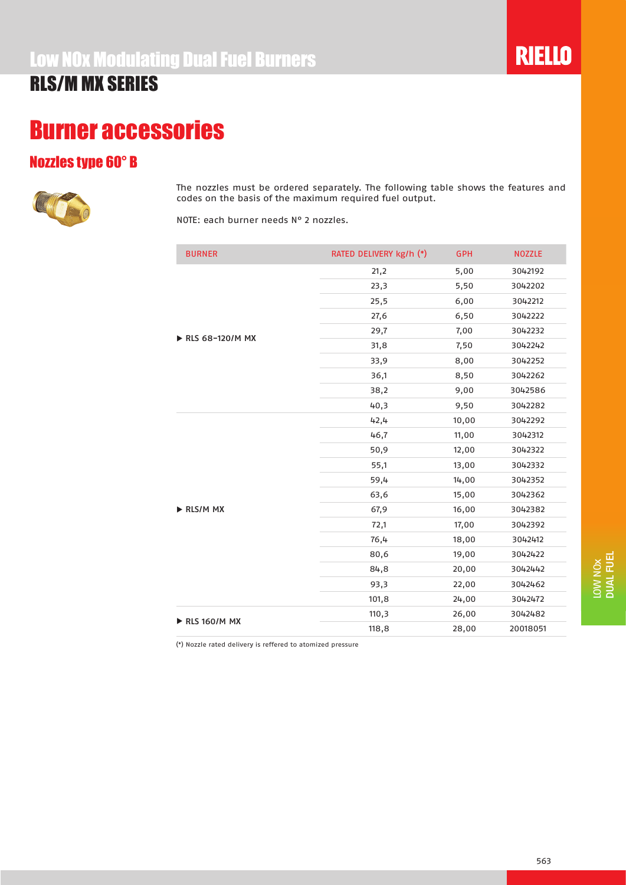### Burner accessories

#### Nozzles type 60° B



The nozzles must be ordered separately. The following table shows the features and codes on the basis of the maximum required fuel output.

NOTE: each burner needs N° 2 nozzles.

| <b>BURNER</b>   | RATED DELIVERY kg/h (*) | <b>GPH</b> | <b>NOZZLE</b> |
|-----------------|-------------------------|------------|---------------|
|                 | 21,2                    | 5,00       | 3042192       |
|                 | 23,3                    | 5,50       | 3042202       |
|                 | 25,5                    | 6,00       | 3042212       |
|                 | 27,6                    | 6,50       | 3042222       |
|                 | 29,7                    | 7,00       | 3042232       |
| RLS 68-120/M MX | 31,8                    | 7,50       | 3042242       |
|                 | 33,9                    | 8,00       | 3042252       |
|                 | 36,1                    | 8,50       | 3042262       |
|                 | 38,2                    | 9,00       | 3042586       |
|                 | 40,3                    | 9,50       | 3042282       |
|                 | 42,4                    | 10,00      | 3042292       |
|                 | 46,7                    | 11,00      | 3042312       |
|                 | 50,9                    | 12,00      | 3042322       |
|                 | 55,1                    | 13,00      | 3042332       |
|                 | 59,4                    | 14,00      | 3042352       |
|                 | 63,6                    | 15,00      | 3042362       |
| RLS/M MX        | 67,9                    | 16,00      | 3042382       |
|                 | 72,1                    | 17,00      | 3042392       |
|                 | 76,4                    | 18,00      | 3042412       |
|                 | 80,6                    | 19,00      | 3042422       |
|                 | 84,8                    | 20,00      | 3042442       |
|                 | 93,3                    | 22,00      | 3042462       |
|                 | 101,8                   | 24,00      | 3042472       |
| RLS 160/M MX    | 110,3                   | 26,00      | 3042482       |
|                 | 118,8                   | 28,00      | 20018051      |

(\*) Nozzle rated delivery is reffered to atomized pressure

**RIELLO**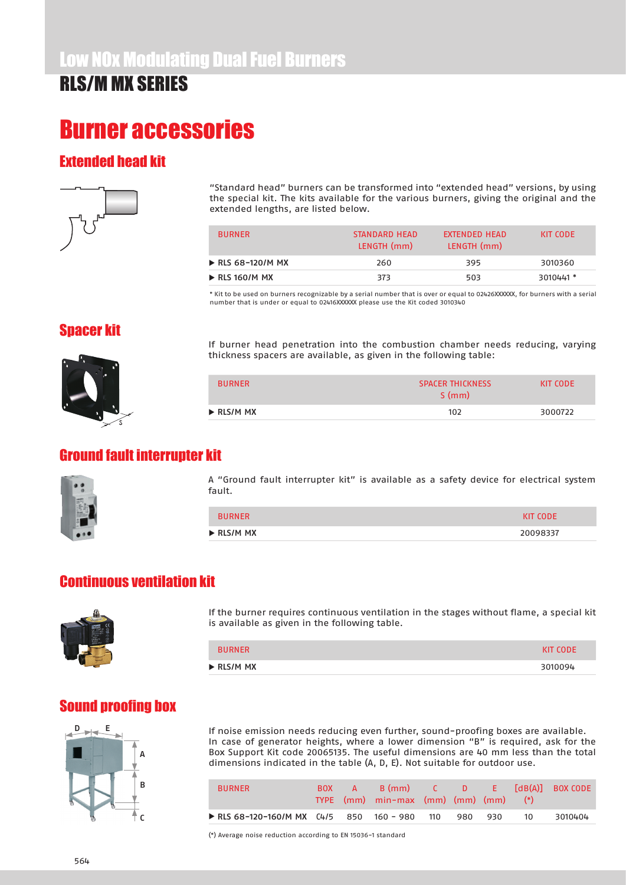## Burner accessories

#### Extended head kit



"Standard head" burners can be transformed into "extended head" versions, by using the special kit. The kits available for the various burners, giving the original and the extended lengths, are listed below.

| <b>BURNER</b>                    | STANDARD HEAD<br>LENGTH (mm) | <b>FXTENDED HEAD</b><br>LENGTH (mm) | KIT CODE  |
|----------------------------------|------------------------------|-------------------------------------|-----------|
| $\triangleright$ RLS 68-120/M MX | 260                          | 395                                 | 3010360   |
| $\triangleright$ RLS 160/M MX    | 373                          | 503                                 | 3010441 * |

\* Kit to be used on burners recognizable by a serial number that is over or equal to 02426XXXXXX, for burners with a serial number that is under or equal to 02416XXXXXX please use the Kit coded 3010340

#### Spacer kit



If burner head penetration into the combustion chamber needs reducing, varying thickness spacers are available, as given in the following table:

| <b>BURNER</b>             | <b>SPACER THICKNESS</b><br>S(mm) | KIT CODE |
|---------------------------|----------------------------------|----------|
| $\triangleright$ RLS/M MX | 102                              | 3000722  |
|                           |                                  |          |

#### Ground fault interrupter kit



A "Ground fault interrupter kit" is available as a safety device for electrical system fault.

| <b>BURNER</b>             | <b>KIT CODE</b> |
|---------------------------|-----------------|
| $\triangleright$ RLS/M MX | 20098337        |

#### Continuous ventilation kit



If the burner requires continuous ventilation in the stages without flame, a special kit is available as given in the following table.

| BURNER                    | <b>KIT CODE</b> |
|---------------------------|-----------------|
| $\triangleright$ RLS/M MX | 3010094         |

### Sound proofing box



If noise emission needs reducing even further, sound-proofing boxes are available. In case of generator heights, where a lower dimension "B" is required, ask for the Box Support Kit code 20065135. The useful dimensions are 40 mm less than the total dimensions indicated in the table (A, D, E). Not suitable for outdoor use.

| <b>BURNER</b>                                | <b>BOX</b> | $-$ A $-$ | TYPE $(mm)$ min-max $(mm)$ $(mm)$ $(mm)$ $(*)$ |         |    | B (mm) C D E [dB(A)] BOX CODE |
|----------------------------------------------|------------|-----------|------------------------------------------------|---------|----|-------------------------------|
| ► RLS 68-120-160/M MX C4/5 850 160 - 980 110 |            |           |                                                | 980 930 | 10 | 3010404                       |

(\*) Average noise reduction according to EN 15036-1 standard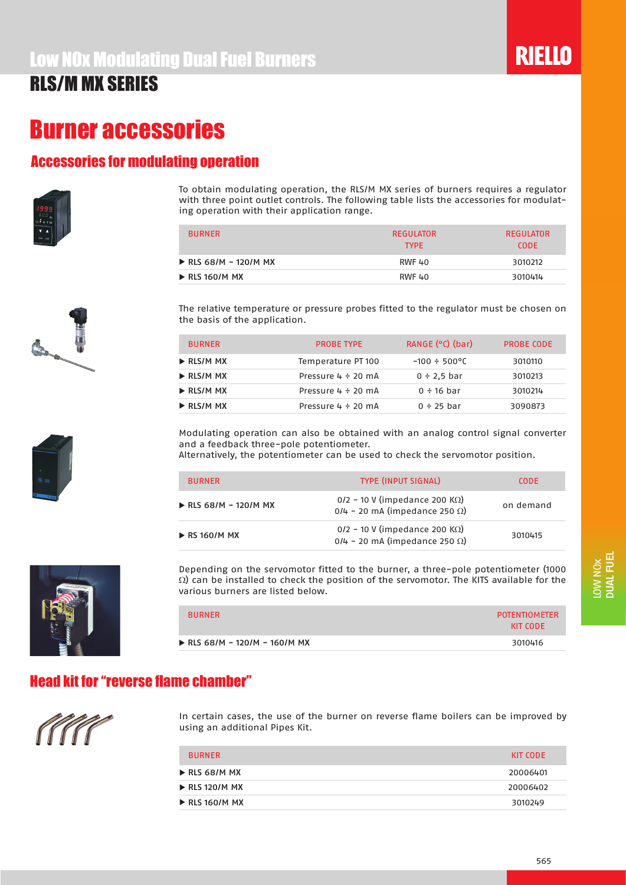### Burner accessories

#### Accessories for modulating operation







To obtain modulating operation, the RLS/M MX series of burners requires a regulator with three point outlet controls. The following table lists the accessories for modulating operation with their application range.

| <b>BURNER</b>                        | <b>REGULATOR</b><br><b>TYPF</b> | REGULATOR<br>CODE. |
|--------------------------------------|---------------------------------|--------------------|
| $\triangleright$ RLS 68/M – 120/M MX | <b>RWF 40</b>                   | 3010212            |
| $\triangleright$ RLS 160/M MX        | <b>RWF 40</b>                   | 3010414            |

The relative temperature or pressure probes fitted to the regulator must be chosen on the basis of the application.

| <b>BURNER</b>             | <b>PROBE TYPE</b>       | RANGE $(°c)$ (bar)        | PROBE CODE |
|---------------------------|-------------------------|---------------------------|------------|
| $\triangleright$ RLS/M MX | Temperature PT 100      | $-100 \div 500^{\circ}$ C | 3010110    |
| $\triangleright$ RLS/M MX | Pressure $4 \div 20$ mA | $0 \div 2.5$ bar          | 3010213    |
| $\triangleright$ RLS/M MX | Pressure $4 \div 20$ mA | $0 \div 16$ bar           | 3010214    |
| $\triangleright$ RLS/M MX | Pressure $4 \div 20$ mA | $0 \div 25$ bar           | 3090873    |

Modulating operation can also be obtained with an analog control signal converter and a feedback three-pole potentiometer.

Alternatively, the potentiometer can be used to check the servomotor position.

| <b>BURNER</b>                        | <b>TYPE (INPUT SIGNAL)</b>                                                          | <b>CODE</b> |
|--------------------------------------|-------------------------------------------------------------------------------------|-------------|
| $\triangleright$ RLS 68/M - 120/M MX | $0/2$ – 10 V (impedance 200 K $\Omega$ )<br>$0/4$ – 20 mA (impedance 250 $\Omega$ ) | on demand   |
| $\triangleright$ RS 160/M MX         | $0/2$ – 10 V (impedance 200 K $\Omega$ )<br>$0/4$ - 20 mA (impedance 250 $\Omega$ ) | 3010415     |

Depending on the servomotor fitted to the burner, a three-pole potentiometer (1000  $\Omega$ ) can be installed to check the position of the servomotor. The KITS available for the various burners are listed below.

| <b>BURNER</b>               | <b>POTENTIOMETER</b><br>KIT CODE |
|-----------------------------|----------------------------------|
| RLS 68/M - 120/M - 160/M MX | 3010416                          |

### Head kit for "reverse flame chamber"



In certain cases, the use of the burner on reverse flame boilers can be improved by using an additional Pipes Kit.

| <b>BURNER</b>                 | KIT CODE |
|-------------------------------|----------|
| $\triangleright$ RLS 68/M MX  | 20006401 |
| $\triangleright$ RLS 120/M MX | 20006402 |
| $\triangleright$ RLS 160/M MX | 3010249  |